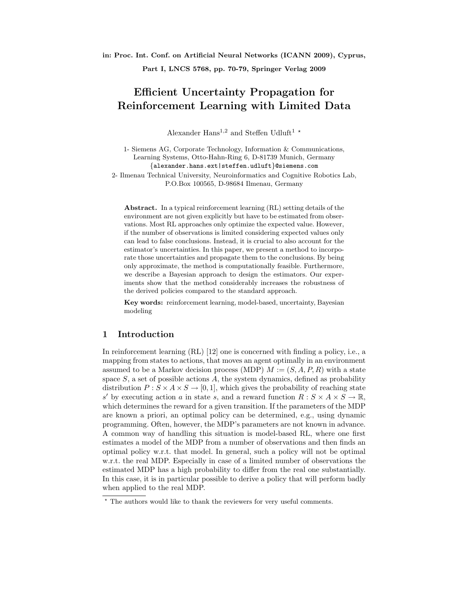Part I, LNCS 5768, pp. 70-79, Springer Verlag 2009

# Efficient Uncertainty Propagation for Reinforcement Learning with Limited Data

Alexander  $\operatorname{Hans}^{1,2}$  and Steffen Udluft<br>1  $^{\star}$ 

1- Siemens AG, Corporate Technology, Information & Communications, Learning Systems, Otto-Hahn-Ring 6, D-81739 Munich, Germany {alexander.hans.ext|steffen.udluft}@siemens.com

2- Ilmenau Technical University, Neuroinformatics and Cognitive Robotics Lab, P.O.Box 100565, D-98684 Ilmenau, Germany

Abstract. In a typical reinforcement learning (RL) setting details of the environment are not given explicitly but have to be estimated from observations. Most RL approaches only optimize the expected value. However, if the number of observations is limited considering expected values only can lead to false conclusions. Instead, it is crucial to also account for the estimator's uncertainties. In this paper, we present a method to incorporate those uncertainties and propagate them to the conclusions. By being only approximate, the method is computationally feasible. Furthermore, we describe a Bayesian approach to design the estimators. Our experiments show that the method considerably increases the robustness of the derived policies compared to the standard approach.

Key words: reinforcement learning, model-based, uncertainty, Bayesian modeling

# 1 Introduction

In reinforcement learning (RL) [12] one is concerned with finding a policy, i.e., a mapping from states to actions, that moves an agent optimally in an environment assumed to be a Markov decision process (MDP)  $M := (S, A, P, R)$  with a state space  $S$ , a set of possible actions  $A$ , the system dynamics, defined as probability distribution  $P: S \times A \times S \rightarrow [0, 1]$ , which gives the probability of reaching state s' by executing action a in state s, and a reward function  $R: S \times A \times S \to \mathbb{R}$ , which determines the reward for a given transition. If the parameters of the MDP are known a priori, an optimal policy can be determined, e.g., using dynamic programming. Often, however, the MDP's parameters are not known in advance. A common way of handling this situation is model-based RL, where one first estimates a model of the MDP from a number of observations and then finds an optimal policy w.r.t. that model. In general, such a policy will not be optimal w.r.t. the real MDP. Especially in case of a limited number of observations the estimated MDP has a high probability to differ from the real one substantially. In this case, it is in particular possible to derive a policy that will perform badly when applied to the real MDP.

<sup>?</sup> The authors would like to thank the reviewers for very useful comments.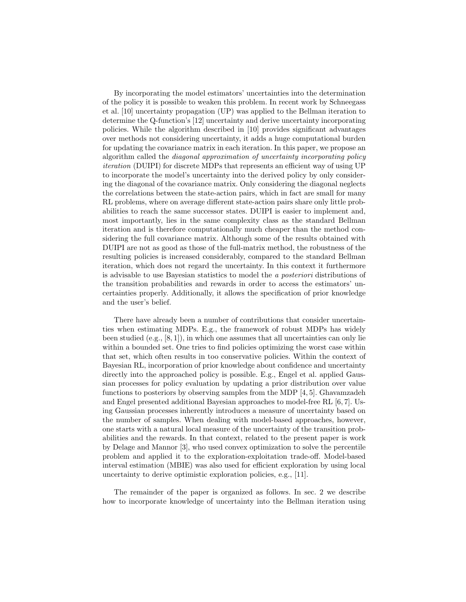By incorporating the model estimators' uncertainties into the determination of the policy it is possible to weaken this problem. In recent work by Schneegass et al. [10] uncertainty propagation (UP) was applied to the Bellman iteration to determine the Q-function's [12] uncertainty and derive uncertainty incorporating policies. While the algorithm described in [10] provides significant advantages over methods not considering uncertainty, it adds a huge computational burden for updating the covariance matrix in each iteration. In this paper, we propose an algorithm called the diagonal approximation of uncertainty incorporating policy iteration (DUIPI) for discrete MDPs that represents an efficient way of using UP to incorporate the model's uncertainty into the derived policy by only considering the diagonal of the covariance matrix. Only considering the diagonal neglects the correlations between the state-action pairs, which in fact are small for many RL problems, where on average different state-action pairs share only little probabilities to reach the same successor states. DUIPI is easier to implement and, most importantly, lies in the same complexity class as the standard Bellman iteration and is therefore computationally much cheaper than the method considering the full covariance matrix. Although some of the results obtained with DUIPI are not as good as those of the full-matrix method, the robustness of the resulting policies is increased considerably, compared to the standard Bellman iteration, which does not regard the uncertainty. In this context it furthermore is advisable to use Bayesian statistics to model the a posteriori distributions of the transition probabilities and rewards in order to access the estimators' uncertainties properly. Additionally, it allows the specification of prior knowledge and the user's belief.

There have already been a number of contributions that consider uncertainties when estimating MDPs. E.g., the framework of robust MDPs has widely been studied (e.g., [8, 1]), in which one assumes that all uncertainties can only lie within a bounded set. One tries to find policies optimizing the worst case within that set, which often results in too conservative policies. Within the context of Bayesian RL, incorporation of prior knowledge about confidence and uncertainty directly into the approached policy is possible. E.g., Engel et al. applied Gaussian processes for policy evaluation by updating a prior distribution over value functions to posteriors by observing samples from the MDP [4, 5]. Ghavamzadeh and Engel presented additional Bayesian approaches to model-free RL [6, 7]. Using Gaussian processes inherently introduces a measure of uncertainty based on the number of samples. When dealing with model-based approaches, however, one starts with a natural local measure of the uncertainty of the transition probabilities and the rewards. In that context, related to the present paper is work by Delage and Mannor [3], who used convex optimization to solve the percentile problem and applied it to the exploration-exploitation trade-off. Model-based interval estimation (MBIE) was also used for efficient exploration by using local uncertainty to derive optimistic exploration policies, e.g., [11].

The remainder of the paper is organized as follows. In sec. 2 we describe how to incorporate knowledge of uncertainty into the Bellman iteration using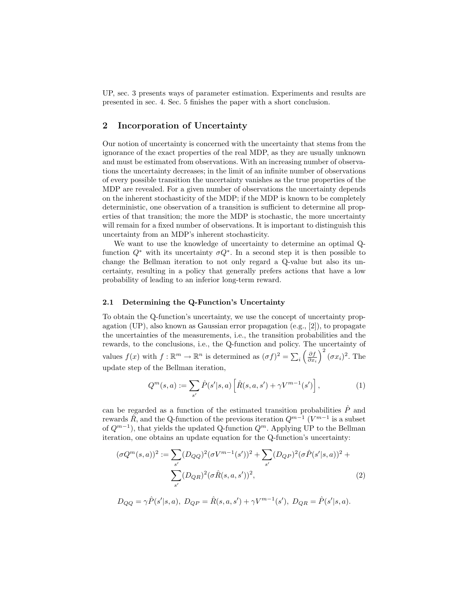UP, sec. 3 presents ways of parameter estimation. Experiments and results are presented in sec. 4. Sec. 5 finishes the paper with a short conclusion.

# 2 Incorporation of Uncertainty

Our notion of uncertainty is concerned with the uncertainty that stems from the ignorance of the exact properties of the real MDP, as they are usually unknown and must be estimated from observations. With an increasing number of observations the uncertainty decreases; in the limit of an infinite number of observations of every possible transition the uncertainty vanishes as the true properties of the MDP are revealed. For a given number of observations the uncertainty depends on the inherent stochasticity of the MDP; if the MDP is known to be completely deterministic, one observation of a transition is sufficient to determine all properties of that transition; the more the MDP is stochastic, the more uncertainty will remain for a fixed number of observations. It is important to distinguish this uncertainty from an MDP's inherent stochasticity.

We want to use the knowledge of uncertainty to determine an optimal Qfunction  $Q^*$  with its uncertainty  $\sigma Q^*$ . In a second step it is then possible to change the Bellman iteration to not only regard a Q-value but also its uncertainty, resulting in a policy that generally prefers actions that have a low probability of leading to an inferior long-term reward.

## 2.1 Determining the Q-Function's Uncertainty

To obtain the Q-function's uncertainty, we use the concept of uncertainty propagation (UP), also known as Gaussian error propagation (e.g., [2]), to propagate the uncertainties of the measurements, i.e., the transition probabilities and the rewards, to the conclusions, i.e., the Q-function and policy. The uncertainty of values  $f(x)$  with  $f: \mathbb{R}^m \to \mathbb{R}^n$  is determined as  $(\sigma f)^2 = \sum_i \left(\frac{\partial f}{\partial x_i}\right)^2 (\sigma x_i)^2$ . The update step of the Bellman iteration,

$$
Q^{m}(s, a) := \sum_{s'} \hat{P}(s'|s, a) \left[ \hat{R}(s, a, s') + \gamma V^{m-1}(s') \right],
$$
 (1)

can be regarded as a function of the estimated transition probabilities  $\hat{P}$  and rewards  $\hat{R}$ , and the Q-function of the previous iteration  $Q^{m-1}$  ( $V^{m-1}$  is a subset of  $Q^{m-1}$ ), that yields the updated Q-function  $Q^m$ . Applying UP to the Bellman iteration, one obtains an update equation for the Q-function's uncertainty:

$$
(\sigma Q^{m}(s, a))^{2} := \sum_{s'} (D_{QQ})^{2} (\sigma V^{m-1}(s'))^{2} + \sum_{s'} (D_{QP})^{2} (\sigma \hat{P}(s'|s, a))^{2} + \sum_{s'} (D_{QR})^{2} (\sigma \hat{R}(s, a, s'))^{2},
$$
\n(2)

$$
D_{QQ} = \gamma \hat{P}(s'|s, a), D_{QP} = \hat{R}(s, a, s') + \gamma V^{m-1}(s'), D_{QR} = \hat{P}(s'|s, a).
$$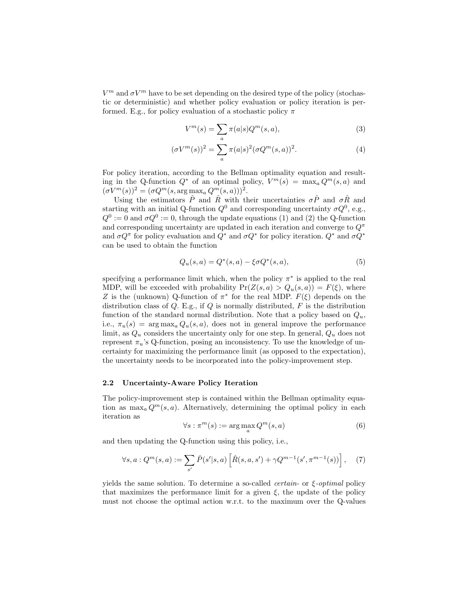$V^m$  and  $\sigma V^m$  have to be set depending on the desired type of the policy (stochastic or deterministic) and whether policy evaluation or policy iteration is performed. E.g., for policy evaluation of a stochastic policy  $\pi$ 

$$
V^m(s) = \sum_a \pi(a|s)Q^m(s, a),\tag{3}
$$

$$
(\sigma V^{m}(s))^{2} = \sum_{a} \pi(a|s)^{2} (\sigma Q^{m}(s,a))^{2}.
$$
 (4)

For policy iteration, according to the Bellman optimality equation and resulting in the Q-function  $Q^*$  of an optimal policy,  $V^m(s) = \max_a Q^m(s, a)$  and  $(\sigma V^{m}(s))^{2} = (\sigma Q^{m}(s, \arg \max_{a} Q^{m}(s, a)))^{2}.$ 

Using the estimators  $\hat{P}$  and  $\hat{R}$  with their uncertainties  $\sigma \hat{P}$  and  $\sigma \hat{R}$  and starting with an initial Q-function  $Q^0$  and corresponding uncertainty  $\sigma Q^0$ , e.g.,  $Q^0 := 0$  and  $\sigma Q^0 := 0$ , through the update equations (1) and (2) the Q-function and corresponding uncertainty are updated in each iteration and converge to  $Q^{\pi}$ and  $\sigma Q^{\pi}$  for policy evaluation and  $Q^*$  and  $\sigma Q^*$  for policy iteration.  $Q^*$  and  $\sigma Q^*$ can be used to obtain the function

$$
Q_u(s, a) = Q^*(s, a) - \xi \sigma Q^*(s, a), \tag{5}
$$

specifying a performance limit which, when the policy  $\pi^*$  is applied to the real MDP, will be exceeded with probability  $Pr(Z(s, a) > Q_u(s, a)) = F(\xi)$ , where Z is the (unknown) Q-function of  $\pi^*$  for the real MDP.  $F(\xi)$  depends on the distribution class of  $Q$ . E.g., if  $Q$  is normally distributed,  $F$  is the distribution function of the standard normal distribution. Note that a policy based on  $Q_u$ , i.e.,  $\pi_u(s) = \arg \max_a Q_u(s, a)$ , does not in general improve the performance limit, as  $Q_u$  considers the uncertainty only for one step. In general,  $Q_u$  does not represent  $\pi_u$ 's Q-function, posing an inconsistency. To use the knowledge of uncertainty for maximizing the performance limit (as opposed to the expectation), the uncertainty needs to be incorporated into the policy-improvement step.

#### 2.2 Uncertainty-Aware Policy Iteration

The policy-improvement step is contained within the Bellman optimality equation as  $\max_a Q^m(s, a)$ . Alternatively, determining the optimal policy in each iteration as

$$
\forall s : \pi^m(s) := \arg \max_{a} Q^m(s, a)
$$
 (6)

and then updating the Q-function using this policy, i.e.,

$$
\forall s, a: Q^m(s, a) := \sum_{s'} \hat{P}(s'|s, a) \left[ \hat{R}(s, a, s') + \gamma Q^{m-1}(s', \pi^{m-1}(s)) \right], \quad (7)
$$

yields the same solution. To determine a so-called *certain*- or  $\xi$ -*optimal* policy that maximizes the performance limit for a given  $\xi$ , the update of the policy must not choose the optimal action w.r.t. to the maximum over the Q-values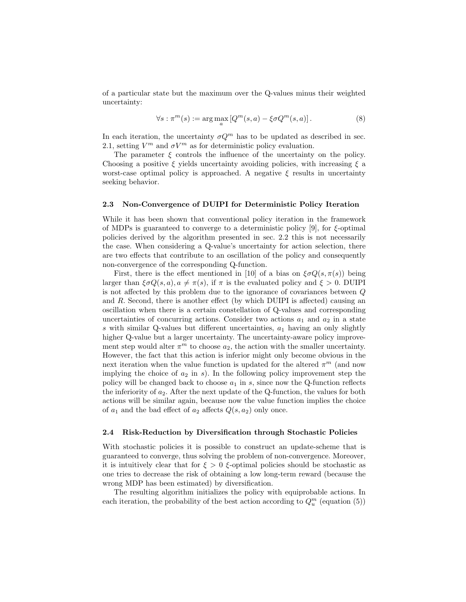of a particular state but the maximum over the Q-values minus their weighted uncertainty:

$$
\forall s: \pi^m(s) := \arg\max_a \left[ Q^m(s, a) - \xi \sigma Q^m(s, a) \right]. \tag{8}
$$

In each iteration, the uncertainty  $\sigma Q^m$  has to be updated as described in sec. 2.1, setting  $V^m$  and  $\sigma V^m$  as for deterministic policy evaluation.

The parameter  $\xi$  controls the influence of the uncertainty on the policy. Choosing a positive ξ yields uncertainty avoiding policies, with increasing  $\xi$  a worst-case optimal policy is approached. A negative  $\xi$  results in uncertainty seeking behavior.

### 2.3 Non-Convergence of DUIPI for Deterministic Policy Iteration

While it has been shown that conventional policy iteration in the framework of MDPs is guaranteed to converge to a deterministic policy [9], for  $\xi$ -optimal policies derived by the algorithm presented in sec. 2.2 this is not necessarily the case. When considering a Q-value's uncertainty for action selection, there are two effects that contribute to an oscillation of the policy and consequently non-convergence of the corresponding Q-function.

First, there is the effect mentioned in [10] of a bias on  $\xi \sigma Q(s, \pi(s))$  being larger than  $\xi \sigma Q(s, a), a \neq \pi(s)$ , if  $\pi$  is the evaluated policy and  $\xi > 0$ . DUIPI is not affected by this problem due to the ignorance of covariances between Q and R. Second, there is another effect (by which DUIPI is affected) causing an oscillation when there is a certain constellation of Q-values and corresponding uncertainties of concurring actions. Consider two actions  $a_1$  and  $a_2$  in a state s with similar Q-values but different uncertainties,  $a_1$  having an only slightly higher Q-value but a larger uncertainty. The uncertainty-aware policy improvement step would alter  $\pi^m$  to choose  $a_2$ , the action with the smaller uncertainty. However, the fact that this action is inferior might only become obvious in the next iteration when the value function is updated for the altered  $\pi^m$  (and now implying the choice of  $a_2$  in s). In the following policy improvement step the policy will be changed back to choose  $a_1$  in s, since now the Q-function reflects the inferiority of  $a_2$ . After the next update of the Q-function, the values for both actions will be similar again, because now the value function implies the choice of  $a_1$  and the bad effect of  $a_2$  affects  $Q(s, a_2)$  only once.

## 2.4 Risk-Reduction by Diversification through Stochastic Policies

With stochastic policies it is possible to construct an update-scheme that is guaranteed to converge, thus solving the problem of non-convergence. Moreover, it is intuitively clear that for  $\xi > 0$   $\xi$ -optimal policies should be stochastic as one tries to decrease the risk of obtaining a low long-term reward (because the wrong MDP has been estimated) by diversification.

The resulting algorithm initializes the policy with equiprobable actions. In each iteration, the probability of the best action according to  $Q_u^m$  (equation (5))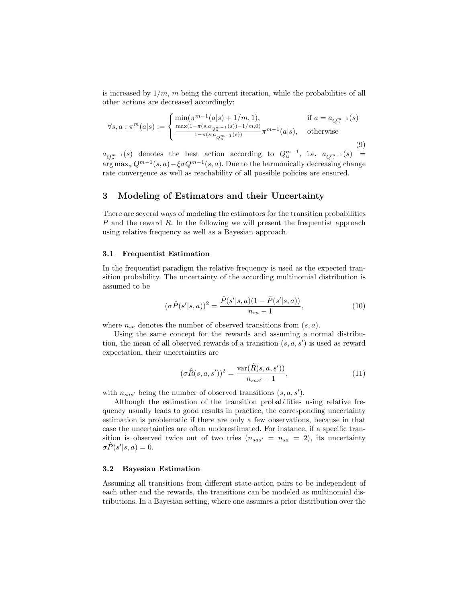is increased by  $1/m$ , m being the current iteration, while the probabilities of all other actions are decreased accordingly:

$$
\forall s, a : \pi^m(a|s) := \begin{cases} \min(\pi^{m-1}(a|s) + 1/m, 1), & \text{if } a = a_{Q_u^{m-1}}(s) \\ \frac{\max(1 - \pi(s, a_{Q_u^{m-1}}(s)) - 1/m, 0)}{1 - \pi(s, a_{Q_u^{m-1}}(s))} \pi^{m-1}(a|s), & \text{otherwise} \end{cases}
$$
(9)

 $a_{Q_u^{m-1}}(s)$  denotes the best action according to  $Q_u^{m-1}$ , i.e,  $a_{Q_u^{m-1}}(s)$  =  $\arg \max_a Q^{m-1}(s, a) - \xi \sigma Q^{m-1}(s, a)$ . Due to the harmonically decreasing change rate convergence as well as reachability of all possible policies are ensured.

# 3 Modeling of Estimators and their Uncertainty

There are several ways of modeling the estimators for the transition probabilities  $P$  and the reward  $R$ . In the following we will present the frequentist approach using relative frequency as well as a Bayesian approach.

## 3.1 Frequentist Estimation

In the frequentist paradigm the relative frequency is used as the expected transition probability. The uncertainty of the according multinomial distribution is assumed to be

$$
(\sigma \hat{P}(s'|s,a))^2 = \frac{\hat{P}(s'|s,a)(1 - \hat{P}(s'|s,a))}{n_{sa} - 1},
$$
\n(10)

where  $n_{sa}$  denotes the number of observed transitions from  $(s, a)$ .

Using the same concept for the rewards and assuming a normal distribution, the mean of all observed rewards of a transition  $(s, a, s')$  is used as reward expectation, their uncertainties are

$$
(\sigma \hat{R}(s, a, s'))^2 = \frac{\text{var}(\hat{R}(s, a, s'))}{n_{sas'} - 1},\tag{11}
$$

with  $n_{sas'}$  being the number of observed transitions  $(s, a, s')$ .

Although the estimation of the transition probabilities using relative frequency usually leads to good results in practice, the corresponding uncertainty estimation is problematic if there are only a few observations, because in that case the uncertainties are often underestimated. For instance, if a specific transition is observed twice out of two tries  $(n_{sas'} = n_{sa} = 2)$ , its uncertainty  $\sigma \hat{P}(s' | s, a) = 0.$ 

## 3.2 Bayesian Estimation

Assuming all transitions from different state-action pairs to be independent of each other and the rewards, the transitions can be modeled as multinomial distributions. In a Bayesian setting, where one assumes a prior distribution over the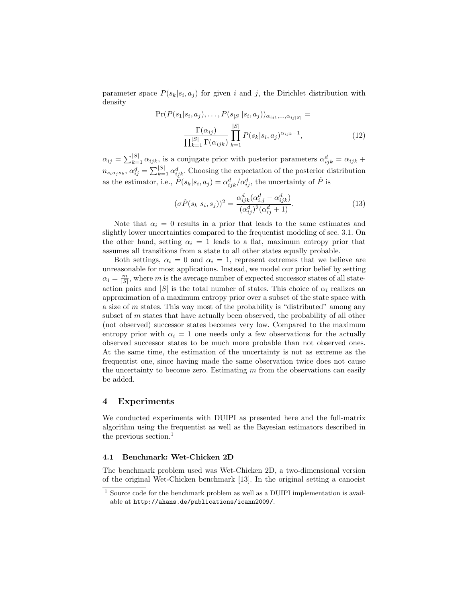parameter space  $P(s_k|s_i, a_j)$  for given i and j, the Dirichlet distribution with density

$$
\Pr(P(s_1|s_i, a_j), \dots, P(s_{|S|}|s_i, a_j))_{\alpha_{ij1}, \dots, \alpha_{ij}|S|} = \frac{\Gamma(\alpha_{ij})}{\prod_{k=1}^{|S|} \Gamma(\alpha_{ijk})} \prod_{k=1}^{|S|} P(s_k|s_i, a_j)^{\alpha_{ijk}-1},
$$
\n(12)

 $\alpha_{ij} = \sum_{k=1}^{|S|} \alpha_{ijk}$ , is a conjugate prior with posterior parameters  $\alpha_{ijk}^d = \alpha_{ijk} + \alpha_{ijk}$  $n_{s_i a_j s_k}, \alpha_{ij}^d = \sum_{k=1}^{|S|} \alpha_{ijk}^d$ . Choosing the expectation of the posterior distribution as the estimator, i.e.,  $\hat{P}(s_k|s_i, a_j) = \alpha_{ijk}^d / \alpha_{ij}^d$ , the uncertainty of  $\hat{P}$  is

$$
(\sigma \hat{P}(s_k|s_i, s_j))^2 = \frac{\alpha_{ijk}^d (\alpha_{i,j}^d - \alpha_{ijk}^d)}{(\alpha_{ij}^d)^2 (\alpha_{ij}^d + 1)}.
$$
\n(13)

Note that  $\alpha_i = 0$  results in a prior that leads to the same estimates and slightly lower uncertainties compared to the frequentist modeling of sec. 3.1. On the other hand, setting  $\alpha_i = 1$  leads to a flat, maximum entropy prior that assumes all transitions from a state to all other states equally probable.

Both settings,  $\alpha_i = 0$  and  $\alpha_i = 1$ , represent extremes that we believe are unreasonable for most applications. Instead, we model our prior belief by setting  $\alpha_i = \frac{m}{|S|}$ , where m is the average number of expected successor states of all stateaction pairs and |S| is the total number of states. This choice of  $\alpha_i$  realizes an approximation of a maximum entropy prior over a subset of the state space with a size of m states. This way most of the probability is "distributed" among any subset of  $m$  states that have actually been observed, the probability of all other (not observed) successor states becomes very low. Compared to the maximum entropy prior with  $\alpha_i = 1$  one needs only a few observations for the actually observed successor states to be much more probable than not observed ones. At the same time, the estimation of the uncertainty is not as extreme as the frequentist one, since having made the same observation twice does not cause the uncertainty to become zero. Estimating  $m$  from the observations can easily be added.

# 4 Experiments

We conducted experiments with DUIPI as presented here and the full-matrix algorithm using the frequentist as well as the Bayesian estimators described in the previous section.<sup>1</sup>

## 4.1 Benchmark: Wet-Chicken 2D

The benchmark problem used was Wet-Chicken 2D, a two-dimensional version of the original Wet-Chicken benchmark [13]. In the original setting a canoeist

 $1$  Source code for the benchmark problem as well as a DUIPI implementation is available at http://ahans.de/publications/icann2009/.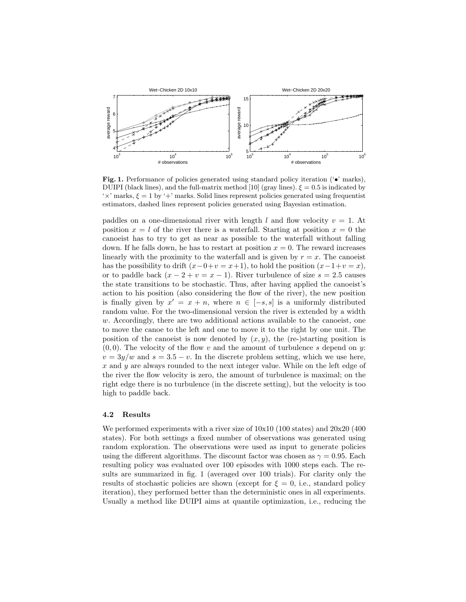

Fig. 1. Performance of policies generated using standard policy iteration ( $\bullet$  marks), DUIPI (black lines), and the full-matrix method [10] (gray lines).  $\xi = 0.5$  is indicated by ' $\times$ ' marks,  $\xi = 1$  by '+' marks. Solid lines represent policies generated using frequentist estimators, dashed lines represent policies generated using Bayesian estimation.

paddles on a one-dimensional river with length l and flow velocity  $v = 1$ . At position  $x = l$  of the river there is a waterfall. Starting at position  $x = 0$  the canoeist has to try to get as near as possible to the waterfall without falling down. If he falls down, he has to restart at position  $x = 0$ . The reward increases linearly with the proximity to the waterfall and is given by  $r = x$ . The canoeist has the possibility to drift  $(x-0+v=x+1)$ , to hold the position  $(x-1+v=x)$ , or to paddle back  $(x - 2 + v = x - 1)$ . River turbulence of size  $s = 2.5$  causes the state transitions to be stochastic. Thus, after having applied the canoeist's action to his position (also considering the flow of the river), the new position is finally given by  $x' = x + n$ , where  $n \in [-s, s]$  is a uniformly distributed random value. For the two-dimensional version the river is extended by a width w. Accordingly, there are two additional actions available to the canoeist, one to move the canoe to the left and one to move it to the right by one unit. The position of the canoeist is now denoted by  $(x, y)$ , the (re-)starting position is  $(0, 0)$ . The velocity of the flow v and the amount of turbulence s depend on y:  $v = 3y/w$  and  $s = 3.5 - v$ . In the discrete problem setting, which we use here,  $x$  and  $y$  are always rounded to the next integer value. While on the left edge of the river the flow velocity is zero, the amount of turbulence is maximal; on the right edge there is no turbulence (in the discrete setting), but the velocity is too high to paddle back.

## 4.2 Results

We performed experiments with a river size of  $10x10$  (100 states) and  $20x20$  (400 states). For both settings a fixed number of observations was generated using random exploration. The observations were used as input to generate policies using the different algorithms. The discount factor was chosen as  $\gamma = 0.95$ . Each resulting policy was evaluated over 100 episodes with 1000 steps each. The results are summarized in fig. 1 (averaged over 100 trials). For clarity only the results of stochastic policies are shown (except for  $\xi = 0$ , i.e., standard policy iteration), they performed better than the deterministic ones in all experiments. Usually a method like DUIPI aims at quantile optimization, i.e., reducing the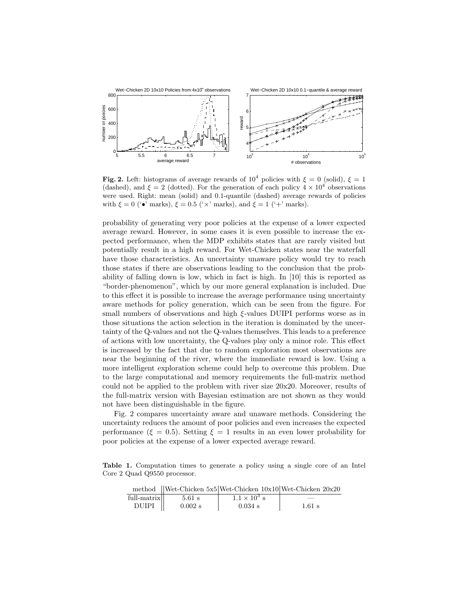

**Fig. 2.** Left: histograms of average rewards of  $10^4$  policies with  $\xi = 0$  (solid),  $\xi = 1$ (dashed), and  $\xi = 2$  (dotted). For the generation of each policy  $4 \times 10^4$  observations were used. Right: mean (solid) and 0.1-quantile (dashed) average rewards of policies with  $\xi = 0$  (' $\bullet$ ' marks),  $\xi = 0.5$  (' $\times$ ' marks), and  $\xi = 1$  ('+' marks).

probability of generating very poor policies at the expense of a lower expected average reward. However, in some cases it is even possible to increase the expected performance, when the MDP exhibits states that are rarely visited but potentially result in a high reward. For Wet-Chicken states near the waterfall have those characteristics. An uncertainty unaware policy would try to reach those states if there are observations leading to the conclusion that the probability of falling down is low, which in fact is high. In [10] this is reported as "border-phenomenon", which by our more general explanation is included. Due to this effect it is possible to increase the average performance using uncertainty aware methods for policy generation, which can be seen from the figure. For small numbers of observations and high ξ-values DUIPI performs worse as in those situations the action selection in the iteration is dominated by the uncertainty of the Q-values and not the Q-values themselves. This leads to a preference of actions with low uncertainty, the Q-values play only a minor role. This effect is increased by the fact that due to random exploration most observations are near the beginning of the river, where the immediate reward is low. Using a more intelligent exploration scheme could help to overcome this problem. Due to the large computational and memory requirements the full-matrix method could not be applied to the problem with river size 20x20. Moreover, results of the full-matrix version with Bayesian estimation are not shown as they would not have been distinguishable in the figure.

Fig. 2 compares uncertainty aware and unaware methods. Considering the uncertainty reduces the amount of poor policies and even increases the expected performance ( $\xi = 0.5$ ). Setting  $\xi = 1$  results in an even lower probability for poor policies at the expense of a lower expected average reward.

Table 1. Computation times to generate a policy using a single core of an Intel Core 2 Quad Q9550 processor.

|              |           | method   Wet-Chicken $5x5$  Wet-Chicken $10x10$  Wet-Chicken $20x20$ |          |
|--------------|-----------|----------------------------------------------------------------------|----------|
| full-matrix  | $5.61$ s  | $1.1 \times 10^3$ s                                                  |          |
| <b>DUIPI</b> | $0.002$ s | $0.034$ s                                                            | $1.61$ s |